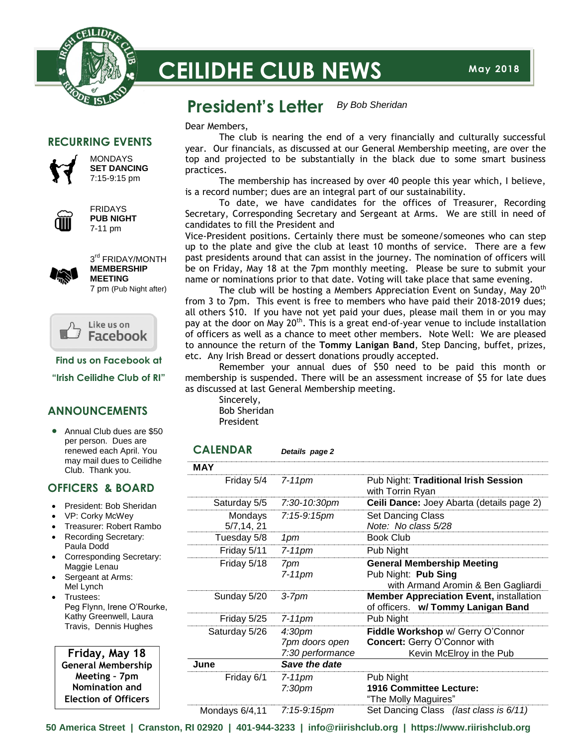

# **CEILIDHE CLUB NEWS**

#### **President's Letter** *By Bob Sheridan*

### **RECURRING EVENTS**



MONDAYS **SET DANCING** 7:15-9:15 pm



FRIDAYS **PUB NIGHT** 7-11 pm



3<sup>rd</sup> FRIDAY/MONTH **MEMBERSHIP MEETING** 7 pm (Pub Night after)



**Find us on Facebook at**

**"Irish Ceilidhe Club of RI"**

### **ANNOUNCEMENTS**

• Annual Club dues are \$50 per person. Dues are renewed each April. You may mail dues to Ceilidhe Club. Thank you.

### **OFFICERS & BOARD**

- President: Bob Sheridan
- VP: Corky McWey
- Treasurer: Robert Rambo Recording Secretary:
- Paula Dodd Corresponding Secretary:
- Maggie Lenau Sergeant at Arms:
- Mel Lynch Trustees:
- Peg Flynn, Irene O'Rourke, Kathy Greenwell, Laura Travis, Dennis Hughes

 **Friday, May 18 General Membership Meeting – 7pm Nomination and Election of Officers**

Dear Members,

The club is nearing the end of a very financially and culturally successful year. Our financials, as discussed at our General Membership meeting, are over the top and projected to be substantially in the black due to some smart business practices.

The membership has increased by over 40 people this year which, I believe, is a record number; dues are an integral part of our sustainability.

To date, we have candidates for the offices of Treasurer, Recording Secretary, Corresponding Secretary and Sergeant at Arms. We are still in need of candidates to fill the President and

Vice-President positions. Certainly there must be someone/someones who can step up to the plate and give the club at least 10 months of service. There are a few past presidents around that can assist in the journey. The nomination of officers will be on Friday, May 18 at the 7pm monthly meeting. Please be sure to submit your name or nominations prior to that date. Voting will take place that same evening.

The club will be hosting a Members Appreciation Event on Sunday, Mav 20<sup>th</sup> from 3 to 7pm. This event is free to members who have paid their 2018-2019 dues; all others \$10. If you have not yet paid your dues, please mail them in or you may pay at the door on May 20<sup>th</sup>. This is a great end-of-year venue to include installation of officers as well as a chance to meet other members. Note Well: We are pleased to announce the return of the **Tommy Lanigan Band**, Step Dancing, buffet, prizes, etc. Any Irish Bread or dessert donations proudly accepted.

Remember your annual dues of \$50 need to be paid this month or membership is suspended. There will be an assessment increase of \$5 for late dues as discussed at last General Membership meeting.

Sincerely, Bob Sheridan President

| <b>CALENDAR</b>        | Details page 2                                           |                                                                                                      |
|------------------------|----------------------------------------------------------|------------------------------------------------------------------------------------------------------|
| <b>MAY</b>             |                                                          |                                                                                                      |
| Friday 5/4             | $7-11$ pm                                                | Pub Night: Traditional Irish Session<br>with Torrin Ryan                                             |
| Saturday 5/5           | 7:30-10:30pm                                             | Ceili Dance: Joey Abarta (details page 2)                                                            |
| Mondays<br>5/7, 14, 21 | 7:15-9:15pm                                              | <b>Set Dancing Class</b><br>Note: No class 5/28                                                      |
| Tuesday 5/8            | 1pm                                                      | <b>Book Club</b>                                                                                     |
| Friday 5/11            | $7-11$ pm                                                | Pub Night                                                                                            |
| Friday 5/18            | 7pm<br>$7-11$ pm                                         | <b>General Membership Meeting</b><br>Pub Night: Pub Sing<br>with Armand Aromin & Ben Gagliardi       |
| Sunday 5/20            | $3-7$ pm                                                 | <b>Member Appreciation Event, installation</b><br>of officers. w/ Tommy Lanigan Band                 |
| Friday 5/25            | $7-11$ pm                                                | Pub Night                                                                                            |
| Saturday 5/26          | 4:30 <sub>pm</sub><br>7pm doors open<br>7:30 performance | Fiddle Workshop w/ Gerry O'Connor<br><b>Concert: Gerry O'Connor with</b><br>Kevin McElroy in the Pub |
| June                   | Save the date                                            |                                                                                                      |
| Friday 6/1             | $7-11$ pm<br>7:30 <sub>pm</sub>                          | Pub Night<br><b>1916 Committee Lecture:</b><br>"The Molly Maguires"                                  |
| Mondays 6/4,11         | 7:15-9:15pm                                              | Set Dancing Class (last class is 6/11)                                                               |

**50 America Street | Cranston, RI 02920 | 401-944-3233 | info@riirishclub.org | https://www.riirishclub.org**